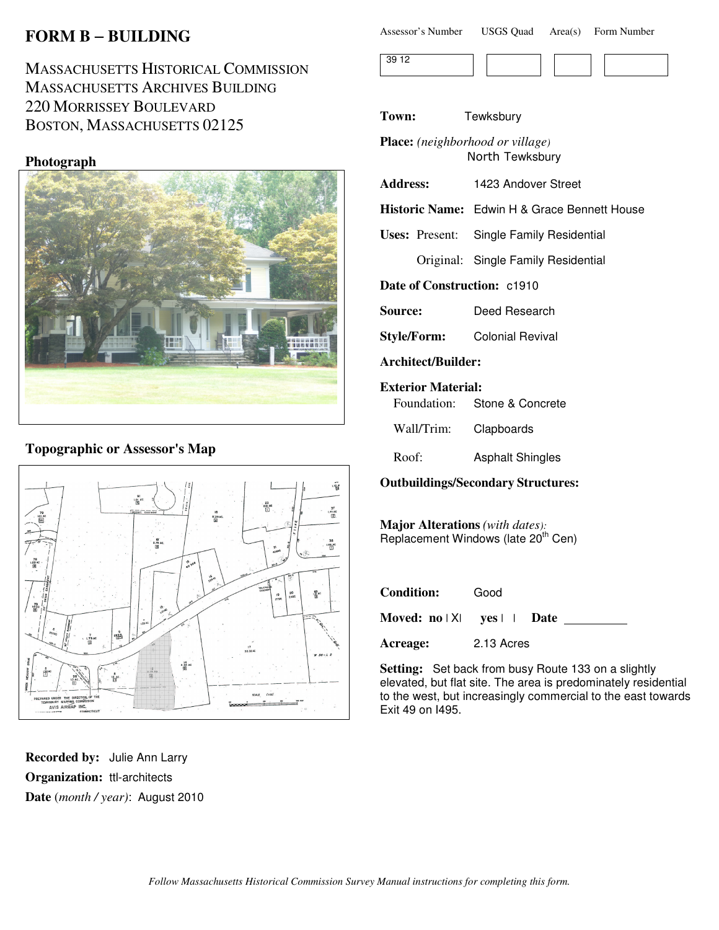# **FORM B** − **BUILDING**

MASSACHUSETTS HISTORICAL COMMISSION MASSACHUSETTS ARCHIVES BUILDING 220 MORRISSEY BOULEVARD BOSTON, MASSACHUSETTS 02125

### **Photograph**



# **Topographic or Assessor's Map**



**Recorded by:** Julie Ann Larry **Organization:** ttl-architects **Date** (*month / year)*: August 2010

| Assessor's Number | <b>USGS Quad</b> | Area(s) | Form Number |
|-------------------|------------------|---------|-------------|
|-------------------|------------------|---------|-------------|



**Town:** Tewksbury

**Place:** *(neighborhood or village)* North Tewksbury

**Address:** 1423 Andover Street

**Historic Name:** Edwin H & Grace Bennett House

**Uses:** Present: Single Family Residential

Original: Single Family Residential

**Date of Construction:** c1910

**Source:** Deed Research

**Style/Form:** Colonial Revival

**Architect/Builder:**

#### **Exterior Material:**

Foundation: Stone & Concrete

Wall/Trim: Clapboards

Roof: Asphalt Shingles

**Outbuildings/Secondary Structures:**

**Major Alterations** *(with dates):* Replacement Windows (late 20<sup>th</sup> Cen)

| <b>Condition:</b>                                     | Good       |
|-------------------------------------------------------|------------|
| Moved: $no \mid X \mid \text{yes} \mid \text{0}$ Date |            |
| Acreage:                                              | 2.13 Acres |

**Setting:** Set back from busy Route 133 on a slightly elevated, but flat site. The area is predominately residential to the west, but increasingly commercial to the east towards Exit 49 on I495.